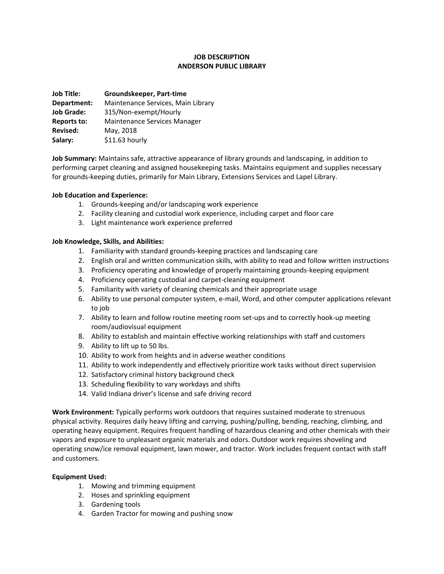# **JOB DESCRIPTION ANDERSON PUBLIC LIBRARY**

| Groundskeeper, Part-time           |
|------------------------------------|
| Maintenance Services, Main Library |
| 315/Non-exempt/Hourly              |
| Maintenance Services Manager       |
| May, 2018                          |
| \$11.63 hourly                     |
|                                    |

**Job Summary:** Maintains safe, attractive appearance of library grounds and landscaping, in addition to performing carpet cleaning and assigned housekeeping tasks. Maintains equipment and supplies necessary for grounds-keeping duties, primarily for Main Library, Extensions Services and Lapel Library.

## **Job Education and Experience:**

- 1. Grounds-keeping and/or landscaping work experience
- 2. Facility cleaning and custodial work experience, including carpet and floor care
- 3. Light maintenance work experience preferred

## **Job Knowledge, Skills, and Abilities:**

- 1. Familiarity with standard grounds-keeping practices and landscaping care
- 2. English oral and written communication skills, with ability to read and follow written instructions
- 3. Proficiency operating and knowledge of properly maintaining grounds-keeping equipment
- 4. Proficiency operating custodial and carpet-cleaning equipment
- 5. Familiarity with variety of cleaning chemicals and their appropriate usage
- 6. Ability to use personal computer system, e-mail, Word, and other computer applications relevant to job
- 7. Ability to learn and follow routine meeting room set-ups and to correctly hook-up meeting room/audiovisual equipment
- 8. Ability to establish and maintain effective working relationships with staff and customers
- 9. Ability to lift up to 50 lbs.
- 10. Ability to work from heights and in adverse weather conditions
- 11. Ability to work independently and effectively prioritize work tasks without direct supervision
- 12. Satisfactory criminal history background check
- 13. Scheduling flexibility to vary workdays and shifts
- 14. Valid Indiana driver's license and safe driving record

**Work Environment:** Typically performs work outdoors that requires sustained moderate to strenuous physical activity. Requires daily heavy lifting and carrying, pushing/pulling, bending, reaching, climbing, and operating heavy equipment. Requires frequent handling of hazardous cleaning and other chemicals with their vapors and exposure to unpleasant organic materials and odors. Outdoor work requires shoveling and operating snow/ice removal equipment, lawn mower, and tractor. Work includes frequent contact with staff and customers.

## **Equipment Used:**

- 1. Mowing and trimming equipment
- 2. Hoses and sprinkling equipment
- 3. Gardening tools
- 4. Garden Tractor for mowing and pushing snow